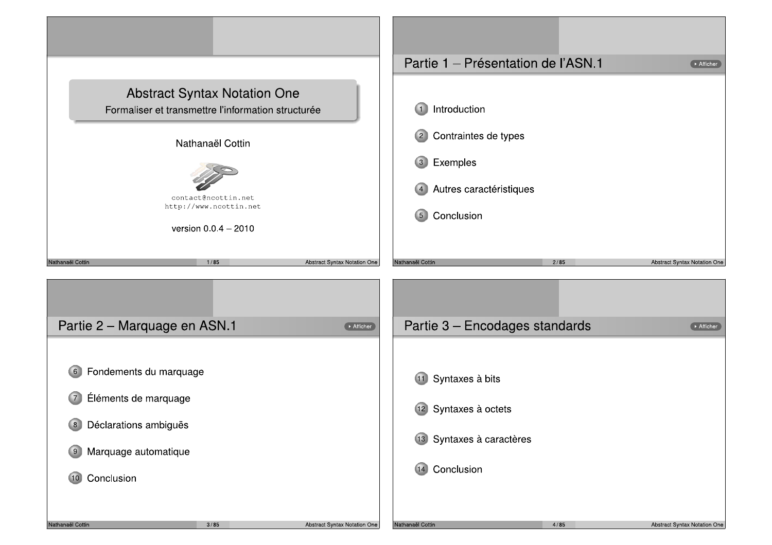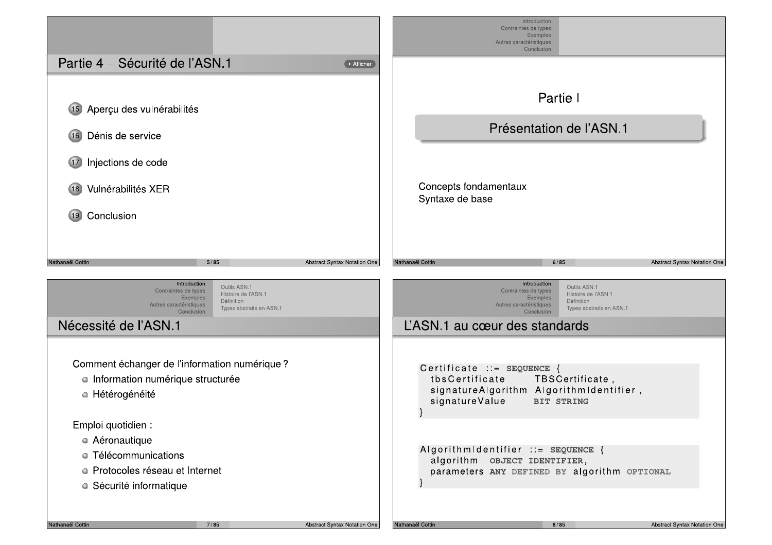|                                                                                                                                                                            |                              |                                                                | Introduction<br>Contraintes de types<br><b>Exemples</b><br>Autres caractéristiques<br>Conclusion                                                                           |                              |
|----------------------------------------------------------------------------------------------------------------------------------------------------------------------------|------------------------------|----------------------------------------------------------------|----------------------------------------------------------------------------------------------------------------------------------------------------------------------------|------------------------------|
| Partie 4 – Sécurité de l'ASN.1                                                                                                                                             | Afficher                     |                                                                |                                                                                                                                                                            |                              |
| Aperçu des vulnérabilités<br>(15)<br>Dénis de service<br>(16)<br>Injections de code<br>(17)<br>Vulnérabilités XER<br>(18)                                                  |                              | Concepts fondamentaux<br>Syntaxe de base                       | Partie I<br>Présentation de l'ASN.1                                                                                                                                        |                              |
| Conclusion<br>(19)                                                                                                                                                         |                              |                                                                |                                                                                                                                                                            |                              |
| Nathanaël Cottin<br>5/85                                                                                                                                                   | Abstract Syntax Notation One | Nathanaël Cottin                                               | 6/85                                                                                                                                                                       | Abstract Syntax Notation One |
| Introduction<br>Outils ASN.1<br>Contraintes de types<br>Histoire de l'ASN.1<br>Exemples<br>Définition<br>Autres caractéristiques<br>Types abstraits en ASN.1<br>Conclusion |                              |                                                                | Introduction<br>Outils ASN.1<br>Contraintes de types<br>Histoire de l'ASN.1<br>Exemples<br>Définition<br>Autres caractéristiques<br>Types abstraits en ASN.1<br>Conclusion |                              |
| Nécessité de l'ASN.1                                                                                                                                                       |                              | L'ASN.1 au cœur des standards                                  |                                                                                                                                                                            |                              |
| Comment échanger de l'information numérique ?<br>· Information numérique structurée<br>• Hétérogénéité                                                                     |                              | Certificate ::= SEQUENCE {<br>tbsCertificate<br>signatureValue | TBSCertificate,<br>signatureAlgorithm AlgorithmIdentifier,<br><b>BIT STRING</b>                                                                                            |                              |
| Emploi quotidien :<br>• Aéronautique<br>• Télécommunications<br>• Protocoles réseau et Internet<br>· Sécurité informatique                                                 |                              |                                                                | Algorithmidentifier ::= SEQUENCE {<br>algorithm OBJECT IDENTIFIER,<br>parameters ANY DEFINED BY algorithm OPTIONAL                                                         |                              |
| Nathanaël Cottin<br>7/85                                                                                                                                                   | Abstract Syntax Notation One | Nathanaël Cottin                                               | 8/85                                                                                                                                                                       | Abstract Syntax Notation One |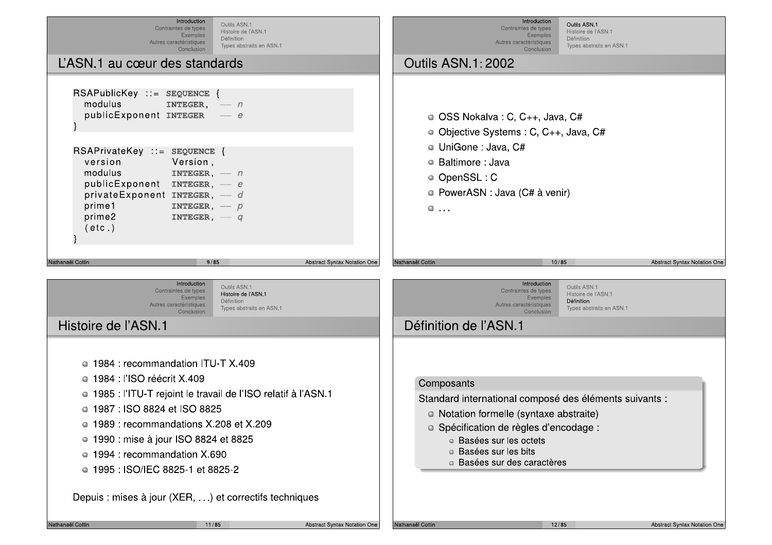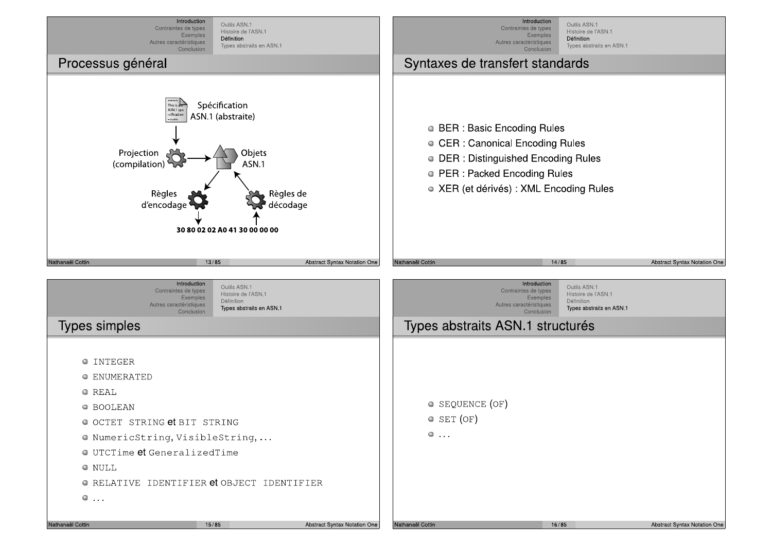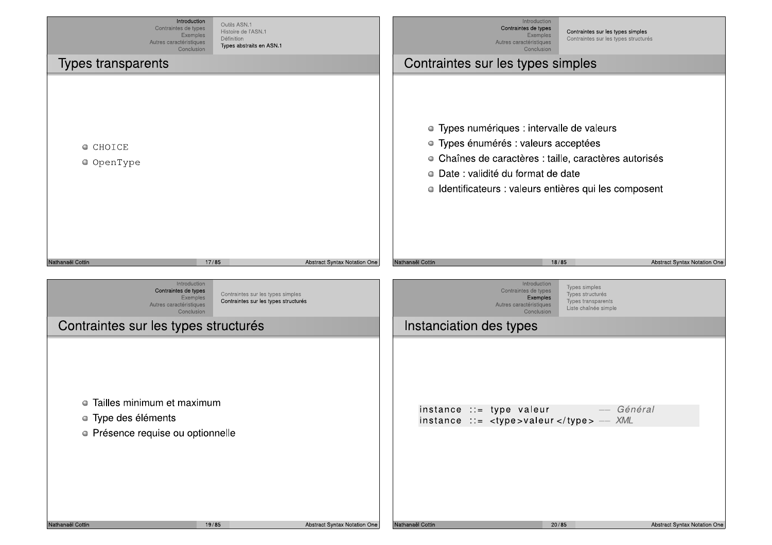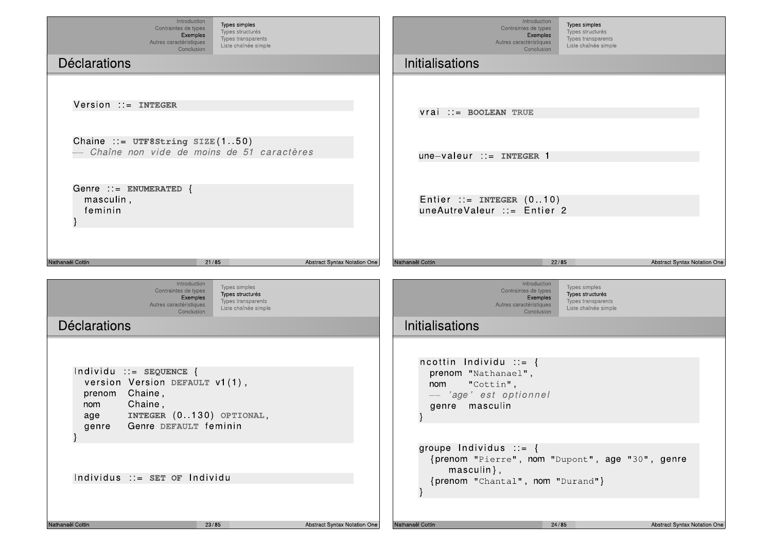| Introduction<br>Types simples<br>Contraintes de types<br>Types structurés<br>Exemples<br>Types transparents<br>Autres caractéristiques<br>Liste chaînée simple<br>Conclusion<br><b>Déclarations</b> | Introduction<br>Types simples<br>Contraintes de types<br>Types structurés<br>Exemples<br>Types transparents<br>Autres caractéristiques<br>Liste chaînée simple<br>Conclusion<br><b>Initialisations</b> |
|-----------------------------------------------------------------------------------------------------------------------------------------------------------------------------------------------------|--------------------------------------------------------------------------------------------------------------------------------------------------------------------------------------------------------|
| Version ::= INTEGER                                                                                                                                                                                 | $vrai$ ::= BOOLEAN TRUE                                                                                                                                                                                |
| Chaine ::= $UTF8String SIZE(150)$<br>Chaîne non vide de moins de 51 caractères                                                                                                                      | $une-valueur ::= INTEGR 1$                                                                                                                                                                             |
| Genre ::= ENUMERATED {<br>masculin,<br>feminin                                                                                                                                                      | Entier ::= INTEGER $(010)$<br>uneAutreValeur ::= Entier 2                                                                                                                                              |
| Nathanaël Cottin<br>21/85<br><b>Abstract Syntax Notation One</b>                                                                                                                                    | 22/85<br>Nathanaël Cottin<br>Abstract Syntax Notation One                                                                                                                                              |
| Introduction<br>Types simples<br>Contraintes de types<br>Types structurés<br>Exemples<br>Types transparents<br>Autres caractéristiques<br>Liste chaînée simple<br>Conclusion                        | Introduction<br>Types simples<br>Contraintes de types<br>Types structurés<br>Exemples<br>Types transparents<br>Autres caractéristiques<br>Liste chaînée simple<br>Conclusion                           |
| <b>Déclarations</b>                                                                                                                                                                                 | <b>Initialisations</b>                                                                                                                                                                                 |
| Individu ::= SEQUENCE {<br>version Version DEFAULT v1(1),<br>prenom Chaine,<br>Chaine,<br>nom<br>INTEGER (0130) OPTIONAL,<br>age<br>Genre DEFAULT feminin<br>genre                                  | ncottin Individu $ ::= \{$<br>prenom "Nathanael",<br>"Cottin",<br>nom<br>- 'age' est optionnel<br>genre masculin                                                                                       |
| Individus ::= SET OF Individu                                                                                                                                                                       | groupe Individus $ ::= \{$<br>{prenom "Pierre", nom "Dupont", age "30", genre<br>$masculin\}$ ,<br>{prenom "Chantal", nom "Durand"}                                                                    |
| Nathanaël Cottin<br>23/85<br>Abstract Syntax Notation One                                                                                                                                           | Nathanaël Cottin<br>24/85<br>Abstract Syntax Notation One                                                                                                                                              |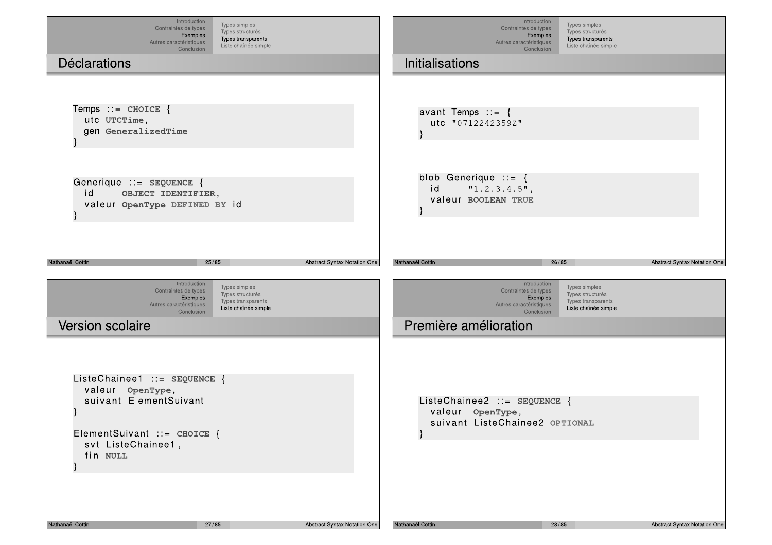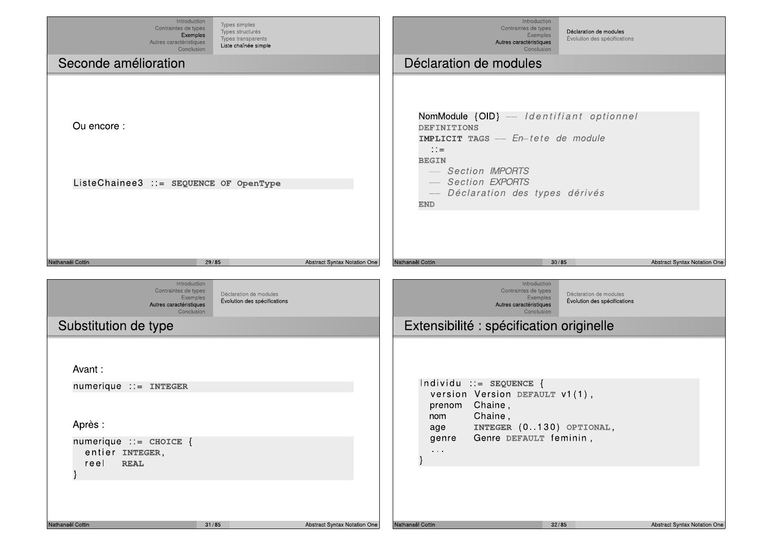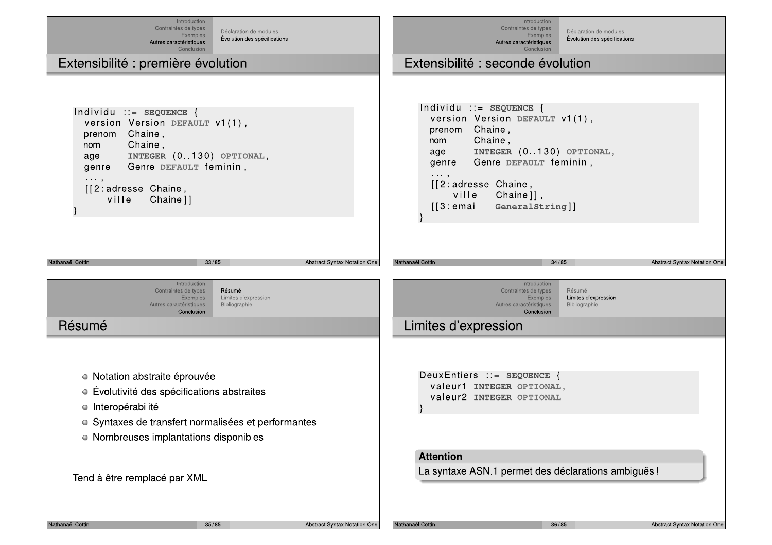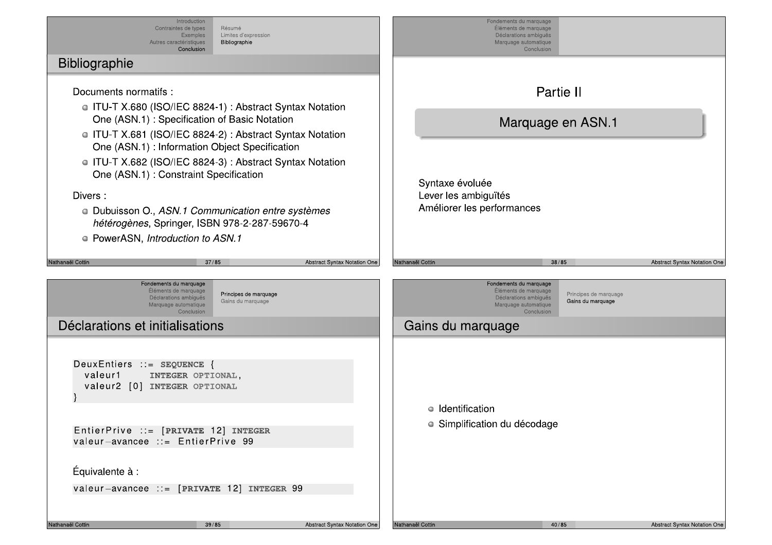Introduction Fondements du marquage Contraintes de types **Résumé** Éléments de marquage Limites d'expression Déclarations ambiques Exemples Autres caractéristiques Bibliographie Marquage automatique Conclusion Conclusion Bibliographie Partie II Documents normatifs : • ITU-T X.680 (ISO/IEC 8824-1): Abstract Syntax Notation One (ASN.1): Specification of Basic Notation Marquage en ASN.1 **ITU-T X.681 (ISO/IEC 8824-2): Abstract Syntax Notation** One (ASN.1): Information Object Specification • ITU-T X.682 (ISO/IEC 8824-3): Abstract Syntax Notation One (ASN.1): Constraint Specification Syntaxe évoluée Lever les ambiguïtés Divers: Améliorer les performances • Dubuisson O., ASN.1 Communication entre systèmes hétérogènes, Springer, ISBN 978-2-287-59670-4 • PowerASN, Introduction to ASN.1  $37/85$ **Abstract Syntax Notation One Abstract Syntax Notation One** Vathanaël Cottin Nathanaël Cottin 38/85 Fondements du marquage Fondements du marquage Éléments de marquage Éléments de marquage Principes de marquage Principes de marquage Déclarations ambiguës Déclarations ambiguës Gains du marquage Gains du marquage Marquage automatique Marquage automatique Conclusion Conclusion Déclarations et initialisations Gains du marquage DeuxEntiers ::= SEQUENCE { valeur1 INTEGER OPTIONAL, valeur2 [0] INTEGER OPTIONAL • Identification · Simplification du décodage EntierPrive ::= [PRIVATE 12] INTEGER valeur-avancee  $\cdots$  EntierPrive 99 Équivalente à : valeur-avancee ::= [PRIVATE 12] INTEGER 99 Vathanaël Cottin  $39/85$ **Abstract Syntax Notation One** Nathanaël Cottin  $40/85$ **Abstract Syntax Notation One**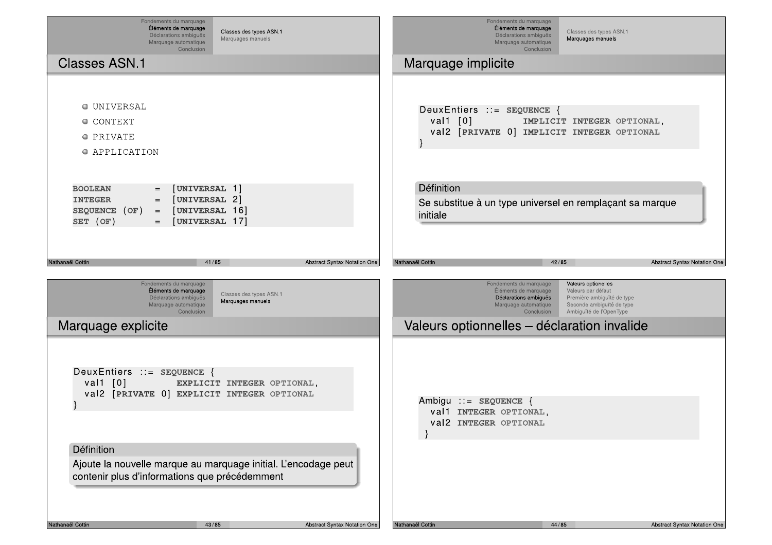| Fondements du marquage<br>Éléments de marquage<br>Classes des types ASN.1<br>Déclarations ambiguës<br>Marquages manuels<br>Marquage automatique<br>Conclusion                       | Fondements du marquage<br>Éléments de marquage<br>Classes des types ASN.1<br>Déclarations ambiguës<br>Marquages manuels<br>Marquage automatique<br>Conclusion                                                                                                                                   |
|-------------------------------------------------------------------------------------------------------------------------------------------------------------------------------------|-------------------------------------------------------------------------------------------------------------------------------------------------------------------------------------------------------------------------------------------------------------------------------------------------|
| <b>Classes ASN.1</b>                                                                                                                                                                | Marquage implicite                                                                                                                                                                                                                                                                              |
| <b>O UNIVERSAL</b><br><b>O CONTEXT</b><br>O PRIVATE<br>O APPLICATION                                                                                                                | DeuxEntiers ::= SEQUENCE {<br>val1 $[0]$<br>IMPLICIT INTEGER OPTIONAL,<br>val2 [PRIVATE 0] IMPLICIT INTEGER OPTIONAL                                                                                                                                                                            |
| [UNIVERSAL 1]<br><b>BOOLEAN</b><br>$=$<br>[UNIVERSAL 2]<br><b>INTEGER</b><br>$=$ $\,$<br>[UNIVERSAL 16]<br>SEQUENCE (OF)<br>$\equiv$ $\equiv$<br>SET (OF)<br>[UNIVERSAL 17]<br>$=$  | Définition<br>Se substitue à un type universel en remplaçant sa marque<br>initiale                                                                                                                                                                                                              |
| Nathanaël Cottin<br>41/85<br>Abstract Syntax Notation One                                                                                                                           | Nathanaël Cottin<br>42/85<br>Abstract Syntax Notation One                                                                                                                                                                                                                                       |
| Fondements du marquage<br>Éléments de marquage<br>Classes des types ASN.1<br>Déclarations ambiguës<br>Marquages manuels<br>Marquage automatique<br>Conclusion<br>Marquage explicite | Fondements du marquage<br>Valeurs optionelles<br>Éléments de marquage<br>Valeurs par défaut<br>Déclarations ambiguës<br>Première ambiguïté de type<br>Marquage automatique<br>Seconde ambiguïté de type<br>Ambiguïté de l'OpenType<br>Conclusion<br>Valeurs optionnelles - déclaration invalide |
| DeuxEntiers ::= SEQUENCE {<br>val1 $[0]$<br>EXPLICIT INTEGER OPTIONAL,<br>val2 [PRIVATE 0] EXPLICIT INTEGER OPTIONAL                                                                | Ambigu ::= $SEQUENCE$ {<br>val1 INTEGER OPTIONAL,<br>Val2 INTEGER OPTIONAL                                                                                                                                                                                                                      |
| Définition<br>Ajoute la nouvelle marque au marquage initial. L'encodage peut<br>contenir plus d'informations que précédemment                                                       |                                                                                                                                                                                                                                                                                                 |
| Nathanaël Cottin<br>43/85<br>Abstract Syntax Notation One                                                                                                                           | Nathanaël Cottin<br>44/85<br>Abstract Syntax Notation One                                                                                                                                                                                                                                       |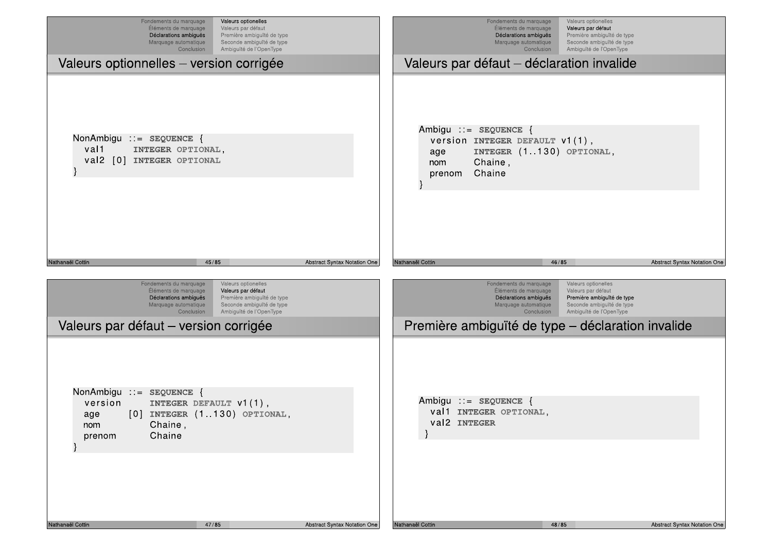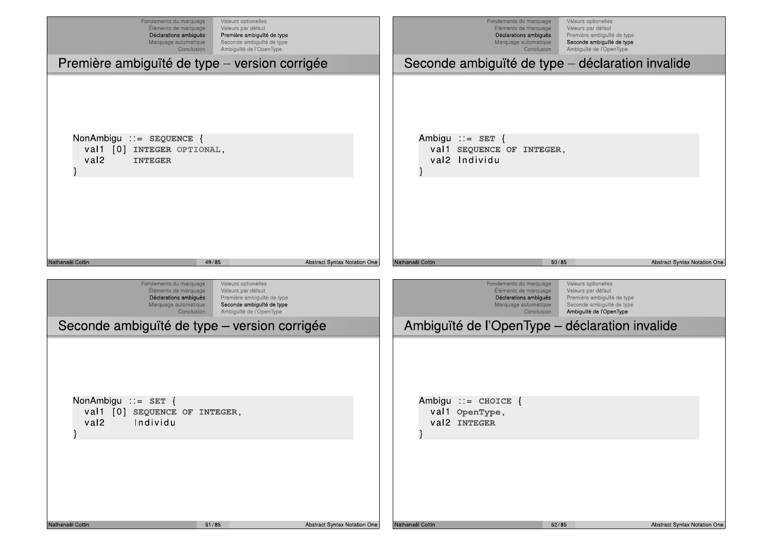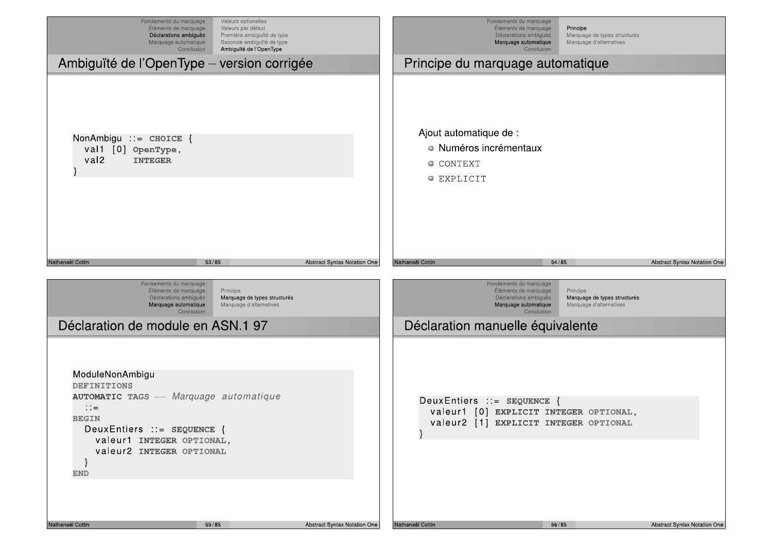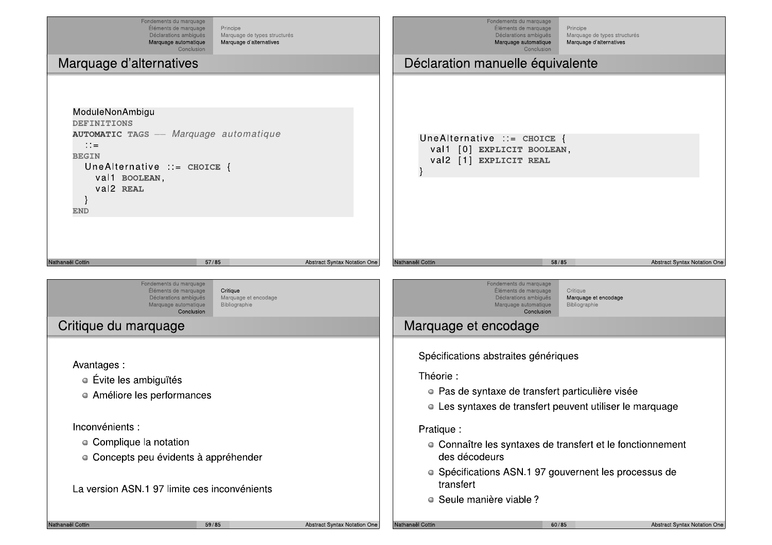| Fondements du marquage<br>Éléments de marquage<br>Déclarations ambiguës<br>Marquage automatique<br>Conclusion                                                                                 | Principe<br>Marquage de types structurés<br>Marquage d'alternatives |                                     |                         | Fondements du marquage<br>Éléments de marquage<br>Déclarations ambiguës<br>Marquage automatique<br>Conclusion                                                   | Principe<br>Marquage de types structurés<br>Marquage d'alternatives |                              |
|-----------------------------------------------------------------------------------------------------------------------------------------------------------------------------------------------|---------------------------------------------------------------------|-------------------------------------|-------------------------|-----------------------------------------------------------------------------------------------------------------------------------------------------------------|---------------------------------------------------------------------|------------------------------|
| Marquage d'alternatives                                                                                                                                                                       |                                                                     |                                     |                         | Déclaration manuelle équivalente                                                                                                                                |                                                                     |                              |
| ModuleNonAmbigu<br><b>DEFINITIONS</b><br><b>AUTOMATIC TAGS</b> -- Marquage automatique<br>$\therefore$<br><b>BEGIN</b><br>UneAlternative $ ::=$ CHOICE {<br>val1 BOOLEAN,<br>val2 REAL<br>END |                                                                     |                                     |                         | UneAlternative $:=$ CHOICE {<br>val1 [0] EXPLICIT BOOLEAN,<br>val2 [1] EXPLICIT REAL                                                                            |                                                                     |                              |
| 57/85<br>Nathanaël Cottin<br>Fondements du marquage<br>Eléments de marquage<br>Déclarations ambiguës<br>Marquage automatique<br>Conclusion                                                    | Critique<br>Marquage et encodage<br>Bibliographie                   | Abstract Syntax Notation One        | Nathanaël Cottin        | Fondements du marquage<br>Eléments de marquage<br>Déclarations ambiguës<br>Marquage automatique<br>Conclusion                                                   | 58/85<br>Critique<br>Marquage et encodage<br>Bibliographie          | Abstract Syntax Notation One |
| Critique du marquage                                                                                                                                                                          |                                                                     |                                     |                         | Marquage et encodage                                                                                                                                            |                                                                     |                              |
| Avantages:<br>• Évite les ambiguïtés<br>• Améliore les performances                                                                                                                           |                                                                     |                                     | Théorie :               | Spécifications abstraites génériques<br>• Pas de syntaxe de transfert particulière visée<br>• Les syntaxes de transfert peuvent utiliser le marquage            |                                                                     |                              |
| Inconvénients :<br>• Complique la notation<br>• Concepts peu évidents à appréhender<br>La version ASN.1 97 limite ces inconvénients                                                           |                                                                     |                                     | Pratique :<br>transfert | • Connaître les syntaxes de transfert et le fonctionnement<br>des décodeurs<br>• Spécifications ASN.1 97 gouvernent les processus de<br>• Seule manière viable? |                                                                     |                              |
| Nathanaël Cottin<br>59/85                                                                                                                                                                     |                                                                     | <b>Abstract Syntax Notation One</b> | Nathanaël Cottin        |                                                                                                                                                                 | 60/85                                                               | Abstract Syntax Notation One |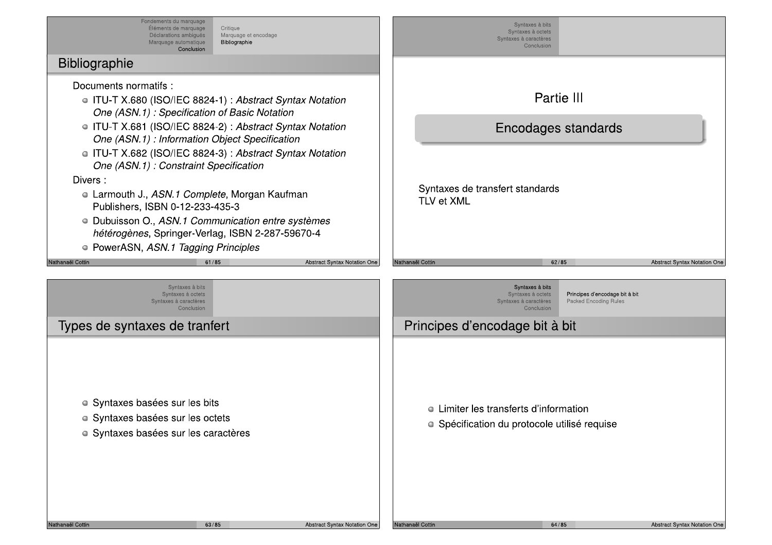Fondements du marquage<br>
Eléments de marquage<br>
Déclarations ambigue<br>
Marquage automatique<br>
Conclusio Fondements du marquage<br>
Éléments de marquage<br>
Déclarations ambigues<br>
Marquage automatique<br>
Conclusion<br> **CONTERNATE ENCARGE DE CONTENTE DE CONTENTE DE CONTENTE DE CONTENTE DE PERIENTE DE CONTENTE DE CONTENTE DE CONTENTE DE** Fondements du marquage<br>
Eléments de marquage<br>
Déclarations ambiguês<br>
Marquage automatique<br>
Conclusion<br>
Conclusion<br>
Conclusion Fondements du marquage<br>
Eléments de marquage<br>
Déclarations ambiguês<br>
Marquage automatique<br>
Conclusion<br>
Conclusion<br>
Conclusion<br>
Conclusion<br>
Conclusion<br>
Conclusion<br>
Conclusion<br>
Conclusion<br>
Conclusion<br>
Conclusion<br>
Conclusion<br> Fondements du marquage<br>
Eléments de marquage<br>
Déclarations ambigués Marquage<br>
Marquage automatique Bibliograp<br>
Conclusion<br>
Conclusion<br>
Conclusion<br>
Conclusion<br>
Conclusion<br>
Conclusion<br>
Conclusion Fondements du marquage<br>
Eléments de marquage<br>
Déclarations ambigues<br>
Marquage automatique<br>
Conclusion<br> **Conclusion**<br> **Conclusion**<br> **Conclusion**<br> **Conclusion**<br> **Conclusion**<br> **Conclusion**<br> **Conclusion**<br> **Conclusion**<br> **Conclu** Fondements du marquage<br>
Eléments de marquage<br>
Déclarations ambigues<br>
Marquage automatique<br>
Conclusion<br>
Conclusion<br>
Conclusion<br>
This normatifs : Fondements du marquage<br>
Eléments de marquage<br>
Déclarations ambigues<br>
Marquage at en Bibliographie<br>
Conclusion<br> **Sixter School (SCALEG 2004 1)** Fondements du marquage<br>
Eléments de marquage<br>
Déclarations ambiguês<br>
Marquage automatique<br>
Marquage automatique<br>
Conclusion<br> **Aphie**<br> **Ents normatifs :**<br>
J-T X.680 (ISO/IEC 8824-1) : *Abst* Fondements du marquage<br>
Éléments de marquage<br>
Déclarations ambigués<br>
Marquage automatique<br>
Conclusion<br>
Conclusion<br>
Conclusion<br>
DICONEC 8824-1) : Abst. Nis du marquage<br>
Ints de marquage<br>
Intigués Marquage et encodage<br>
Interval de Bibliographie<br>
Conclusion<br>
Conclusion<br>
Conclusion<br>
Conclusion<br>
Conclusion<br>
Conclusion<br>
Conclusion<br>
Conclusion<br>
Conclusion<br>
Conclusion<br>
Conclusio nts du marquage<br>
ths de marquage<br>
tations ambiguës<br>
Marquage et encodage<br>
Marquage et encodage<br> **Conclusion<br>
Conclusion**<br>
S<br>
Conclusion<br>
Conclusion<br>
Conclusion<br>
Conclusion<br>
Conclusion<br>
Conclusion<br>
Conclusion<br>
Conclusion<br>
C Iu marquage<br>
le marquage<br>
s ambiguës Marquage et encodage<br>
automatique Bibliographie<br>
Conclusion<br>
Conclusion Mis du marquage<br>
Mis de marquage<br>
Is de marquage<br>
Marquage et encodage<br>
Marquage et encodage<br>
Conclusion<br>
Conclusion<br>
Conclusion<br>
Conclusion<br>
Conclusion<br>
Conclusion<br>
Conclusion<br>
Conclusion<br>
Conclusion<br>
Conclusion<br>
Conclusi Fondements du marquage<br>
Elements de marquage<br>
Déclarations ambigues<br>
Marquage et encodage<br>
Marquage et encodage<br>
Marquage et encodage<br>
Dibliographie<br>
Documents normatifs :<br>
• ITU-T X.680 (ISO/IEC 8824-1) : *Abstract Syntax* Fondements du marquage<br>
Eléments de marquage<br>
Dédarations ambusuée de Marquage et en<br>
Marquage automatique<br>
Conclusion<br>
Conclusion<br>
Documents normatifs :<br>
• ITU-T X.680 (ISO/IEC 8824-1) : *Abstrane (ASN.1) : Specification* Fondements du marquage<br>
Eléments de marquage<br>
Déclarations ambigués<br>
Marquage automatique<br>
Marquage automatique<br>
Conclusion<br>
Bibliographie<br>
Documents normatifs :<br>
• ITU-T X.680 (ISO/IEC 8824-1)<br> *One (ASN.1) : Specificatio* Fondements du marquage<br>
Eléments de marquage<br>
Déclarations ambigues<br>
Marquage automatique<br>
Marquage automatique<br>
Marquage automatique<br>
Condusion<br>
Bibliographie<br>
Documents normatifs :<br>
• ITU-T X.680 (ISO/IEC 8824-1) : .<br> *O* Eibliographie<br>
Eibliographie<br>
Bibliographie<br>
Bibliographie<br>
Documents normatifs :<br>
• ITU-T X.680 (ISO/IEC 8824-1) : Abstract Syntax Notation<br>
• One (ASN.1) : Specification of Basic Notation<br>
• One (ASN.1) : Information Obj Documents normatits :<br>
ITU-T X.680 (ISO/IEC 88<br>
One (ASN.1) : Specification<br>
ITU-T X.681 (ISO/IEC 88<br>
One (ASN.1) : Information<br>
ITU-T X.682 (ISO/IEC 88<br>
One (ASN.1) : Constraint<br>
Divers :<br>
Curmouth J., ASN.1 Computers, IS **• 110-1 X.680 (ISO/IEC 8824-1): Abstract Syntax Notation**<br> **One (ASN.1): Specification of Basic Notation**<br>
• **ITU-T X.681 (ISO/IEC 8824-2): Abstract Syntax Notation**<br>
• **One (ASN.1): Information Object Specification**<br>
• (ISO/IEC 8824-1) : Abstract Syntax Notation<br>
(ISO/IEC 8824-2) : Abstract Syntax Notation<br>
(ISO/IEC 8824-2) : Abstract Syntax Notation<br>
(ISO/IEC 8824-3) : Abstract Syntax Notation<br>
(ISO/IEC 8824-3) : Abstract Syntax Notatio *DIEC 8824-1) : Abstract Syntax Notation*<br>
Decification of Basic Notation<br>
formation Object Specification<br>
formation Object Specification<br>
DIEC 8824-3) : Abstract Syntax Notation<br>
DIEC 8824-3) : Abstract Syntax Notation<br>
D One (ASN.1) : Specification of Basic Notation<br>
TIU-T X.681 (ISO/IEC 8824-2) : Abstract Synta.<br>
One (ASN.1) : Information Object Specification<br>
TIU-T X.682 (ISO/IEC 8824-3) : Abstract Synta.<br>
One (ASN.1) : Constraint Specif One (ASN.1) : Specification of Basic Notation<br>
• ITU-T X.681 (ISO/IEC 8824-2) : Abstract Syntax Notation<br>
• ITU-T X.682 (ISO/IEC 8824-3) : Abstract Syntax Notation<br>
• ITU-T X.682 (ISO/IEC 8824-3) : Abstract Syntax Notation • IIU-I X.681 (ISO/IEC 8824-2) : *Abstract Syntax Notation*<br>
One (ASN.1) : *Information Object* Specification<br>
One (ASN.1) : *Constraint Specification*<br>
Divers :<br>
• Larmouth J., ASN.1 Complete, Morgan Kaufman<br>
Publishers One (ASN.1) : Intormation Object Specif.<br>
• ITU-T X.682 (ISO/IEC 8824-3) : Abstract<br>
One (ASN.1) : Constraint Specification<br>
Divers :<br>
• Larmouth J., ASN.1 Complete, Morgan P<br>
Publishers, ISBN 0-12-233-435-3<br>
• Dubuisson O One (ASN.1) : Information Object Specification<br>
• ITU-T X.682 (ISO/IEC 8824-3) : Abstract Syr<br>
One (ASN.1) : Constraint Specification<br>
Divers :<br>
• Larmouth J., ASN.1 Complete, Morgan Kauf<br>
Publishers, ISBN 0-12-233-435-3<br> One (ASN.1) : Intormation Object Specification<br>
ITU-T X.682 (ISO/IEC 8824-3) : Abstract Syntax<br>
One (ASN.1) : Constraint Specification<br>
rs :<br>
Larmouth J., ASN.1 Complete, Morgan Kaufman<br>
Publishers, ISBN 0-12-233-435-3<br>
Du One (ASN.1) : Information Object Specification<br>
• ITU-T X.682 (ISO/IEC 8824-3) : Abstract Syntax Notation<br>
Divers :<br>
• Larmouth J., ASN.1 Complete, Morgan Kaufman<br>
• Publishers, ISBN 0-12-233-435-3<br>
• Dubuisson O., ASN.1 C **a** ITU-T X.682 (ISO/IEC 8824-3) : *Abstract Syntax Notation*<br>
One (ASN.1) : Constraint Specification<br>
Divers :<br> **a Larmouth J., ASN.1 Complete, Morgan Kaufman**<br>
Publishers, ISBN 0-12-233-435-3<br> **a Dubuisson O., ASN.1 Comm** - Labordice,<br>
Dubuisson<br> *hétérogène*<br>
O PowerASN<br>
Nathanaël Cottin Pubuisson O., *ASN.1 Communication entre systèmes*<br>
hétérogènes, Springer-Verlag, ISBN 2-287-59670-4<br>
PowerASN, *ASN.1 Tagging Principles*<br>
Abstract Syntax Notation O<br>
Syntaxes à bits<br>
Syntaxes à bits<br>
Syntaxes à dotets<br>
S entre systèmes<br>287-59670-4<br>Abstract Syntax Notation One the System and System and System and System and System and System and System and System and System and System and System and System and System and System and System and System and System and System and System and System an '- $\begin{array}{c}\n\text{Sylntaves à bits}\n\text{Syltnaves à class à costes}\n\text{Syltnaves à cardses }\n\text{Sylntaxes à canaches}\n\text{Crotusson}\n\end{array}$ \nStation

\nStation

\nStatation

\nSylntaxes de transferal standards

\nTLV et XML

\nES

\nNet Synax Notation One

\nMathanaal Gotin

\nSylntaxes à others

\nSyltnases à bits

\nSyltnases à bits

\nSyltnases à class

\nSyltnases à class

\nSyltnases à class

\nSyltnases à

Syntaxes à bits<br>Syntaxes à octets<br>Syntaxes à caractères<br>Conclusion Syntaxes à bits<br>Syntaxes à octets<br>Syntaxes à caractères<br>Conclusion Syntaxes à bits<br>Syntaxes à cotets<br>Syntaxes à caractères<br>Conclusion Syntaxes à bits<br>Syntaxes à octets<br>Syntaxes à caractères<br>Conclusion<br>**Partie III** Syntaxes à bits<br>
Syntaxes à octets<br>
Syntaxes à caractères<br>
Conclusion<br>
Partie III Syntaxes à bits<br>Syntaxes à octets<br>Syntaxes à caractères<br>Conclusion<br>**Partie III** Syntaxes à bits<br>Syntaxes à cotel<br>Syntaxes à caractères<br>Conclusion<br>**Partie III**<br>Encodages standards<br>Syntaxes de transfert standards<br>TLV et XML Syntaxes à canceles<br>
Syntaxes à canceles<br>
Syntaxes à canceles<br>
Conclusion<br>
Partie III<br>
Encodages standards<br>
Syntaxes de transfert standards<br>
TLV et XML<br>
Conc  $\begin{tabular}{c|c} \multicolumn{1}{c}{\text{\bf Symlase a abs}} \\ \multicolumn{1}{c}{\text{\bf Symlase a coclusion}} \\ \multicolumn{1}{c}{\text{\bf Symlase a coclusion}} \\ \multicolumn{1}{c}{\text{\bf Particle III}} \\ \multicolumn{1}{c}{\text{\bf{Practice}} \\ \multicolumn{1}{c}{\text{\bf{Practice}} \\ \multicolumn{1}{c}{\text{\bf{Practice}}}} \\ \multicolumn{1}{c}{\text{\bf Symlaxes de transfer}t standards} \\ \multicolumn{1}{c}{\text{\bf TUv et XML}} \\ \multicolumn{1}{c}{\text{\bf NMRl}} \\ \multicolumn{1}{c}{\text{\bf N$ Syntaxes à compassant compassant compassant compassant compassant compassant compassant compassant compassant compassant compassant compassant compassant compassant compassant compassant compassant compassant compassant co Partie III<br>
on<br>
on<br>
Syntaxes de transfert standards<br>
TLV et XML<br>
Nathanaël Cottin<br>
Nathanaël Cottin<br>
Nathanaël Cottin<br>
Syntaxes à bits<br>
Syntaxes à bits Partie III<br>Encodages standards<br>Syntaxes de transfert standards<br>TLV et XML<br>Nathanaël Cottins **Encodages standards<br>
Encodages standards<br>
Syntaxes de transfert standards<br>
Res<br>
Res<br>
Res<br>
Res Antanage Cottin<br>
Nathanael Cottin<br>
Syntaxes à chile<br>
Syntaxes a collister<br>
Syntaxes a collister<br>
Syntaxes a collister<br>
Syntaxes** Tion One Nathanaël Cottin<br>-<br>-<br>-62/85<br>
Abstract Syntax Notation One<br>
Syntaxes à bits<br>
Syntaxes à octets<br>
Principes d'encodage bit à bit<br>
Syntaxes à caractères<br>
Conclusion<br>
Conclusion Abstract Syntax Notation One Abstract Syntax Notation One stract Syntax Notation One Example 1991 and the Systems of Conduction Control of the Systems and the Systems and the Systems and the Systems and the Systems and the Systems and the Systems and the Systems and the Systems and the Systems and the Syst Syntaxes à bits<br>Syntaxes à bits<br>Syntaxes à bits<br>Syntaxes à octets<br>Syntaxes à caractères<br>Conclusion<br>**yntaxes de tranfert** erbyeries, optinger-verlag, ISBN 7<br>
verASN, *ASN.1 Tagging Principles*<br>
Syntaxes à bits<br>
Syntaxes à doctets<br>
Syntaxes à doctets<br>
Conclusion<br>
P Syntaxes de tranfert PowerASN, ASN.1 Tagging Principles Syntaxes à bits<br>
Syntaxes à bits<br>
Syntaxes à bits<br>
Syntaxes à declation<br>
Discondusion<br>
Discondusion<br>
Discondusion<br>
Discondusion<br>
Discondusion<br>
Discondusion 61/85<br>
Syntaxes à bits<br>
Syntaxes à caractères<br>
Syntaxes à caractères<br>
Conclusion<br>
Conclusion<br>
Conclusion 61/85<br>
Syntaxes à bits<br>
Syntaxes à caractères<br>
Syntaxes à caractères<br>
Conclusion<br>
Xes de tranfert Publishers, ISBN 0-12-233-435-3<br>
• Dubuisson O., *ASN.1 Communication<br>
hétérogènes*, Springer-Verlag, ISBN 2<br>
• PowerASN, *ASN.1 Tagging Principles*<br>
Nathanaël Cottin<br>
Figure Syntaxes à client<br>
Syntaxes à client<br>
Syntaxes Publishers, ISBN 0-12-233-435-3<br>
• Dubuisson O., *ASN.1 Communication entre systèmes<br>
hétérogènes*, Springer-Verlag, ISBN 2-287-59670-4<br>
• PowerASN, *ASN.1 Tagging Principles*<br> **Natanaal Cottin**<br> **Natanaal Cotting**<br> **Expre** Publishers, ISBN 0-12-233-435-3<br>
• Dubuisson O., ASN.1 Communication entre systèmes<br>
• PowerASN, ASN.1 Tagging Principles<br>
• PowerASN, ASN.1 Tagging Principles<br>
• Systems & box<br>
• Systems & box<br>
• Systems & box<br>
• Systems Types de syntaxes de tranfert<br>
• Syntaxes basées sur les bits<br>
• Syntaxes basées sur les octets<br>
• Syntaxes basées sur les caractères<br>
• Syntaxes basées sur les caractères Types de syntaxes de tranfert<br>
• Syntaxes basées sur les bits<br>
• Syntaxes basées sur les octets<br>
• Syntaxes basées sur les caractères<br>
• Syntaxes basées sur les caractères Types de syntaxes de tranfert<br>
• Syntaxes basées sur les bits<br>
• Syntaxes basées sur les cotets<br>
• Syntaxes basées sur les caractères<br>
• Nathanaël Cottin ● Syntaxes basées sur les bits<br>● Syntaxes basées sur les octets<br>● Syntaxes basées sur les caractères<br>→ Syntaxes basées sur les caractères<br>→ Nathanaël Cottin Mathanaël Cottin Mathanaël Cottin er and the Californian Community of the Californian Community of the Californian Community of the Californian Community of the Californian Community of the Californian Community of the Californian Community of the Californ Abstract Syntax Notation One Abstract Syntax Notation One Stract Syntax Notation One Ext Syntax Notation One<br>
Syntaxes à bits<br>
Syntaxes à conclusion<br>
Principes d'encodage bit à bit<br>
Principes d'encodage bit à bit<br>
Principes d'encodage bit à bit<br>
Principes d'encodage bit à bit<br>
Principes d'encodage bit à bi EXPRESSED Syntaxes à bits<br>
Syntaxes à octets<br>
Syntaxes à caractères<br>
Conclusion<br>
Conclusion<br>
Conclusion<br>
Conclusion<br>
Conclusion 62/85<br>
Syntaxes à bits<br>
Syntaxes à octets<br>
Syntaxes à caractères<br>
Conclusion<br>
Simple to the Packed Encodi<br>
Simple 1990<br>
Simple 1990<br>
Conclusion<br>
Simple 1990<br>
Simple 1991<br>
Conclusion<br>
Simple 1991<br>
Conclusion<br>
Simple 1991<br>
C ESPIERRES A DIES SYNTAXES À DIES SYNTAXES À OCTETS PRINCIPES d'encodi<br>
Syntaxes à caractères Packed Encodi<br>
Conclusion<br>
DES d'encodage bit à bit EXEMPLE PRODUCED SANDRON STRAINS & Syntaxes à octets<br>
Syntaxes à caractères<br>
Syntaxes à caractères<br>
Conclusion<br>
Santaxes **Drain Santaxes**<br>
Conclusion<br>
Santaxes **Drain Santaxes**<br>
Conclusion<br>
Santaxes Drain Santaxes Packed E 62/85<br>
Syntaxes à bits<br>
Syntaxes à caractères<br>
Syntaxes à caractères<br>
Conclusion<br>
Codage bit à bit 62/85<br>
Syntaxes à bits<br>
Syntaxes à catetes<br>
Syntaxes à caractères<br>
Conclusion<br>
Codage bit à bit<br>
Codage bit à bit 62/85<br>
Syntaxes à bits<br>
syntaxes à cotets<br>
<sup>Principes</sup> d'encodage bit<br>
<sup>Principes</sup> d'encodage bit<br>
<sup>Principes</sup> d'encoding Rules<br>
<br> **ROC bit à bit**<br> 62/85<br>
Montaxes à bits<br>
Sacaractères<br>
Sacaractères<br>
Conclusion<br>
Dit à bit<br>
Contracteurs<br>
Packed Encoding Rules<br>
Packed Encoding Rules<br>
Packed Encoding Rules<br>
Packed Encoding Rules 62/85<br>
Intaxes à bits<br>
Expanse à cotets<br>
A caractères<br>
Conclusion<br>
Conclusion<br>
Conclusion<br>
Conclusion<br>
Conclusion 62/85<br>
Axxes à bits<br>
Se à octets<br>
Sancactères<br>
Packed Encoding Rules<br>
Packed Encoding Rules<br>
Polit à bit<br>
Piti 62/85<br>
Machines d'encodage bit à bit<br>
Principes d'encodage bit à bit<br>
Packed Encoding Rules<br> **A** bit<br> **A** bit Abstract Syntax<br>
rrincipes d'encodage bit à bit<br>
acked Encoding Rules<br>
İt 62/85<br>
Abstract Syntaxes à bits<br>
Syntaxes à octets<br>
Principes d'encodage bit à bit<br>
Packed Encoding Rules<br>
Conclusion<br> **age bit à bit**<br> **only and the principes of the principal Rules**<br> **age bit à bit** 62/85<br>
Abits<br>
a bits<br>
Principes d'encodage bit à bit<br>
Principes d'encodage bit à bit<br>
Principes d'encoding Rules<br>
Dit<br>
Dit<br>
Dit<br>
Contract Dit<br>
Principes d'encoding Rules<br>
Principes<br>
Dit<br>
Contract Dit<br>
Principes d'encoding 62/85<br>
S<br>
Principes d'encodage bit à bit<br>
Packed Encoding Rules<br>
n<br> **À bit**<br>
C<br> **A** bit ILV et XML<br>
Abstract Syrtax Nutation One<br>
Abstract Syrtax Nutation One<br>
Nutrition of the College of the College of the College of the College of the College of the College of the College of the College of the College of th Systèmes<br>
9670-4<br>
Abstract Syntax Notation One<br>
Nathanaël Cottin<br>
Syntaxes à docts<br>
Syntaxes à docts<br>
Syntaxes à docts<br>
Syntaxes à docts<br>
Conclusion<br>
Principes d'encodage bit<br>
• Limiter les transferts d'info<br>
• Spécificati I LV et XML<br>
Abstract Syntax Notation One<br>
Nathanaši Cottin<br>
Syntaxes à bels<br>
Syntaxes à bels<br>
Syntaxes à bels<br>
Syntaxes à bels<br>
Syntaxes à bels<br>
Syntaxes à bels<br>
Syntaxes à bels<br>
Syntaxes à bels<br>
Conclusion<br>
Principes d'e France Syntax Notation One<br>
National Collin<br>
Abstract Syntax Notation One<br>
Mathamage Collin<br>
Syntaxes à discription<br>
Syntaxes à discription<br>
Principes d'encodage bit à bit<br>
Discription<br>
Discription (Principes d'encodage bi I LY et XML<br>
Syntaxes a bits<br>
Syntaxes a caractères<br>
Syntaxes à caractères<br>
Principes d'encodage bit à bit<br>
Principes d'encodage bit à bit<br>
Concision<br>
De Limiter les transferts d'information<br>
O Spécification du protocole u and Cottin<br>
Syntaxes à bits<br>
Syntaxes à bits<br>
Syntaxes à critics<br>
Syntaxes à critics<br>
Conclusion<br>
Conclusion<br>
Tincipes d'encodage bit à bit<br>
Pricépes d'encodage bit à bit<br>
Packed Emoding Rules<br>
Packed Emoding Rules<br>
Packed  $\begin{tabular}{llll} \multicolumn{2}{l}{{\footnotesize \textbf{E.}}}\end{tabular} \begin{tabular}{llll} \multicolumn{2}{l}{{\footnotesize \textbf{N.}}}\end{tabular} \begin{tabular}{llllll} \multicolumn{2}{l}{{\footnotesize \textbf{N.}}}\end{tabular} \begin{tabular}{lllllllll} \multicolumn{2}{l}{{\footnotesize \textbf{N.}}}\end{tabular} \begin{tabular}{lllllllll} \multicolumn{2}{l}{{\footnotesize \textbf{N.}}}\end{tabular} \begin{tabular}{lllllllll} \multicolumn{2}{l}{{\footnotesize \textbf{N.}}$ Principes d'encodage bit à<br>
<br>
• Limiter les transferts d'info<br>
• Spécification du protocole<br>
• Principes d'encodage bit à bit<br>
• Limiter les transferts d'information<br>
• Spécification du protocole utilisé req Principes d'encodage bit à bit<br>
Inter les transferts d'information<br>
Inter les transferts d'information<br>
Inter Spécification du protocole utilisé requise bes d'encodage bit à bit<br>Limiter les transferts d'information<br>Spécification du protocole utilisé requise es d'encodage bit à bit<br>miter les transferts d'information<br>pécification du protocole utilisé requise encodage bit à bit<br>es transferts d'information<br>tion du protocole utilisé requise 1 In the pcs d Cncbaage, but a bit<br>\n● Limited the transfer is transferts d'information<br>\n<ul>\n<li>Spécification du protocole utilisé</li>\n<li>Spécification du protocole utilisé</li>\n</ul>\n<p>Mathanaë Cottin</p>\n<ul>\n<li>Mathanaë Cottin</li>\n<li>64/85</li>\n</ul> ■ TIMERICS & CHEOCAGE DITE A DITE<br>
■ Limiter les transferts d'informatio<br>
■ Spécification du protocole utilisé<br>
■ Nathanaël Cottin • Limiter les transferts d'information<br>● Spécification du protocole utilisé re ■ Limiter les transferts d'information<br>■ Spécification du protocole utilisé requise r les transferts d'information<br>ication du protocole utilisé requise les transferts d'information<br>Cation du protocole utilisé requise - 1 Thricipus a chronadge bit a bit<br>
■ Limiter les transferts d'information<br>
■ Spécification du protocole utilisé requise<br>
<br>
Notation One Nathanaë Cottin<br>
Nathanaë Cottin<br>
Bastract Syntax Notation Mathanaël Cottin<br>"Nathanaël Cottin" Mathanaël Cottin<br>Nathanaël Cottin n<br>1999 - Abstract Syntax Notation One<br>2009 - Abstract Syntax Notation One Abstract Syntax Notation One Abstract Syntax Notation One Stract Syntax Notation One Expediance Syntax Notation One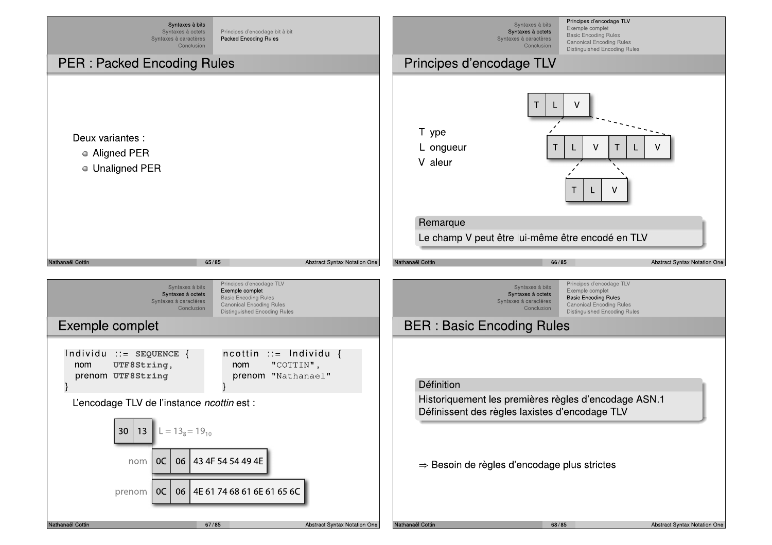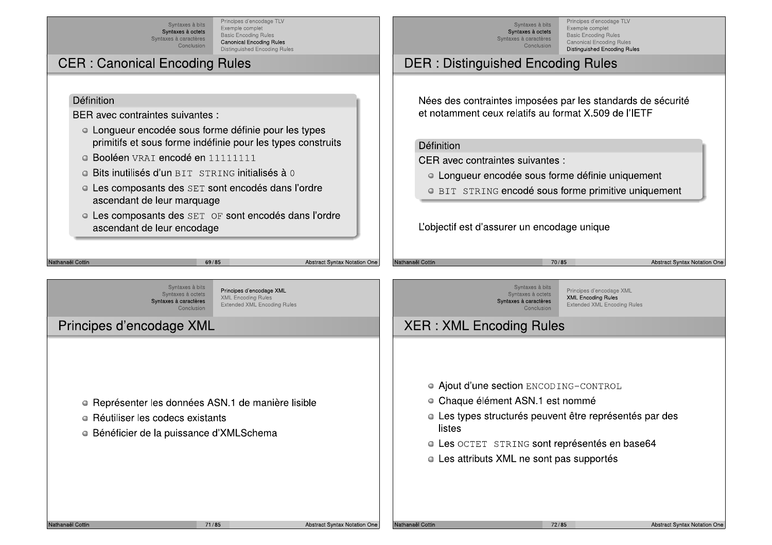Principes d'encodage TLV Syntaxes à bits Exemple complet Syntaxes à octets Basic Encoding Rules Syntaxes à caractères Canonical Encoding Rules Conclusion **Distinguished Encoding Rules** 

· Longueur encodée sous forme définie pour les types

• Les composants des SET sont encodés dans l'ordre

• Les composants des SET OF sont encodés dans l'ordre

primitifs et sous forme indéfinie pour les types construits

## **CER: Canonical Encoding Rules**

· Booléen VRAT encodé en 11111111

ascendant de leur marquage

o Bits inutilisés d'un BIT STRING initialisés à 0

BER avec contraintes suivantes :

Définition

Principes d'encodage TLV Exemple complet Basic Encoding Rules Canonical Encoding Rules **Distinguished Encoding Rules** 

## **DER: Distinguished Encoding Rules**

Nées des contraintes imposées par les standards de sécurité et notamment ceux relatifs au format X.509 de l'IETF

#### Définition

CER avec contraintes suivantes :

- Longueur encodée sous forme définie uniquement
- O BIT STRING encodé sous forme primitive uniquement

L'objectif est d'assurer un encodage unique

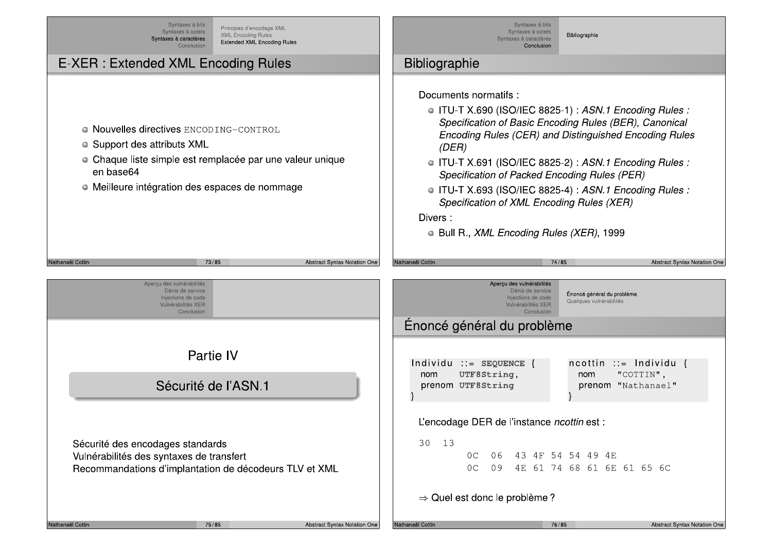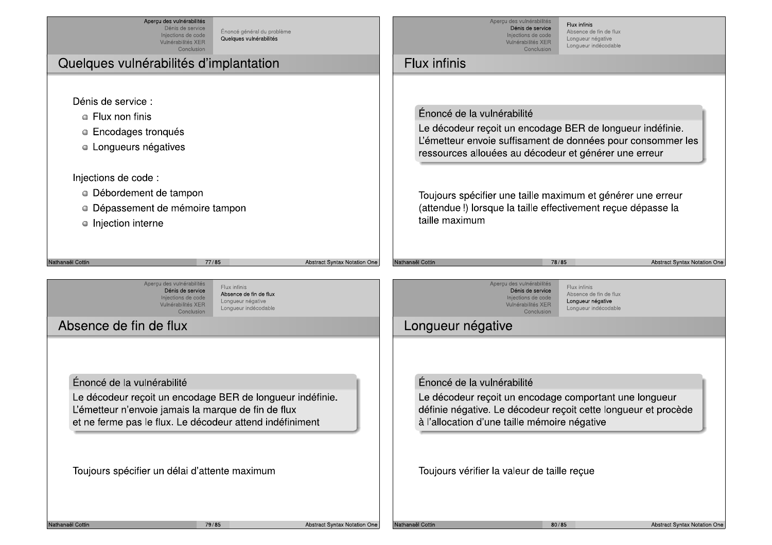| Aperçu des vulnérabilités<br>Dénis de service<br>Énoncé général du problème<br>Injections de code<br>Quelques vulnérabilités<br>Vulnérabilités XER<br>Conclusion                                                | Aperçu des vulnérabilités<br>Flux infinis<br>Dénis de service<br>Absence de fin de flux<br>Injections de code<br>Longueur négative<br>Vulnérabilités XER<br>Longueur indécodable<br>Conclusion                                                                                                                                                                   |
|-----------------------------------------------------------------------------------------------------------------------------------------------------------------------------------------------------------------|------------------------------------------------------------------------------------------------------------------------------------------------------------------------------------------------------------------------------------------------------------------------------------------------------------------------------------------------------------------|
| Quelques vulnérabilités d'implantation                                                                                                                                                                          | Flux infinis                                                                                                                                                                                                                                                                                                                                                     |
| Dénis de service :<br>• Flux non finis<br><b>Encodages tronqués</b><br>Longueurs négatives<br>0<br>Injections de code :<br>• Débordement de tampon<br>Dépassement de mémoire tampon<br>0<br>• Injection interne | Énoncé de la vulnérabilité<br>Le décodeur reçoit un encodage BER de longueur indéfinie.<br>L'émetteur envoie suffisament de données pour consommer les<br>ressources allouées au décodeur et générer une erreur<br>Toujours spécifier une taille maximum et générer une erreur<br>(attendue!) lorsque la taille effectivement reçue dépasse la<br>taille maximum |
| Nathanaël Cottin                                                                                                                                                                                                | 78/85                                                                                                                                                                                                                                                                                                                                                            |
| 77/85                                                                                                                                                                                                           | Nathanaël Cottin                                                                                                                                                                                                                                                                                                                                                 |
| Abstract Syntax Notation One                                                                                                                                                                                    | Abstract Syntax Notation One                                                                                                                                                                                                                                                                                                                                     |
| Aperçu des vulnérabilités                                                                                                                                                                                       | Aperçu des vulnérabilités                                                                                                                                                                                                                                                                                                                                        |
| Flux infinis                                                                                                                                                                                                    | Flux infinis                                                                                                                                                                                                                                                                                                                                                     |
| Dénis de service                                                                                                                                                                                                | Dénis de service                                                                                                                                                                                                                                                                                                                                                 |
| Absence de fin de flux                                                                                                                                                                                          | Absence de fin de flux                                                                                                                                                                                                                                                                                                                                           |
| Injections de code                                                                                                                                                                                              | Injections de code                                                                                                                                                                                                                                                                                                                                               |
| Longueur négative                                                                                                                                                                                               | Longueur négative                                                                                                                                                                                                                                                                                                                                                |
| Vulnérabilités XER                                                                                                                                                                                              | Vulnérabilités XER                                                                                                                                                                                                                                                                                                                                               |
| Longueur indécodable                                                                                                                                                                                            | Longueur indécodable                                                                                                                                                                                                                                                                                                                                             |
| Conclusion                                                                                                                                                                                                      | Conclusion                                                                                                                                                                                                                                                                                                                                                       |
| Absence de fin de flux                                                                                                                                                                                          | Longueur négative                                                                                                                                                                                                                                                                                                                                                |
| Énoncé de la vulnérabilité                                                                                                                                                                                      | Énoncé de la vulnérabilité                                                                                                                                                                                                                                                                                                                                       |
| Le décodeur reçoit un encodage BER de longueur indéfinie.                                                                                                                                                       | Le décodeur reçoit un encodage comportant une longueur                                                                                                                                                                                                                                                                                                           |
| L'émetteur n'envoie jamais la marque de fin de flux                                                                                                                                                             | définie négative. Le décodeur reçoit cette longueur et procède                                                                                                                                                                                                                                                                                                   |
| et ne ferme pas le flux. Le décodeur attend indéfiniment                                                                                                                                                        | à l'allocation d'une taille mémoire négative                                                                                                                                                                                                                                                                                                                     |
| Toujours spécifier un délai d'attente maximum                                                                                                                                                                   | Toujours vérifier la valeur de taille reçue                                                                                                                                                                                                                                                                                                                      |
| Nathanaël Cottin                                                                                                                                                                                                | 80/85                                                                                                                                                                                                                                                                                                                                                            |
| Abstract Syntax Notation One                                                                                                                                                                                    | Abstract Syntax Notation One                                                                                                                                                                                                                                                                                                                                     |
| 79/85                                                                                                                                                                                                           | Nathanaël Cottin                                                                                                                                                                                                                                                                                                                                                 |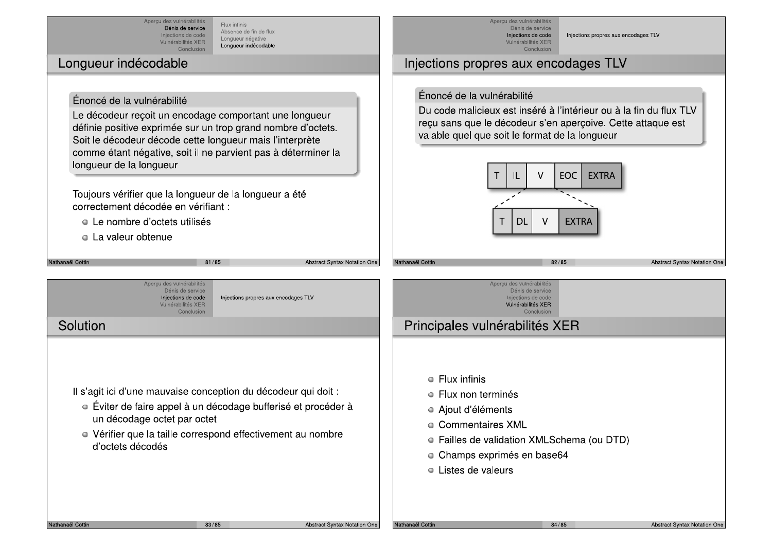Aperçu des vulnérabilités Flux infinis Dénis de service Absence de fin de flux Injections de code Longueur négative Vulnérabilités XER Longueur indécodable Conclusion

### Lonqueur indécodable

#### Énoncé de la vulnérabilité

Le décodeur recoit un encodage comportant une longueur définie positive exprimée sur un trop grand nombre d'octets. Soit le décodeur décode cette longueur mais l'interprète comme étant négative, soit il ne parvient pas à déterminer la longueur de la longueur

Toujours vérifier que la longueur de la longueur a été correctement décodée en vérifiant :

- Le nombre d'octets utilisés
- La valeur obtenue



Injections propres aux encodages TLV

### Injections propres aux encodages TLV

valable quel que soit le format de la longueur

Apercu des vulnérabilités Dénis de service

Injections de code

Vulnérabilités XER

Conclusion

Énoncé de la vulnérabilité

 $\vee$ EOC. **EXTRA** IL **EXTRA** DL

Du code malicieux est inséré à l'intérieur ou à la fin du flux TLV

recu sans que le décodeur s'en apercoive. Cette attaque est

Apercu des vulnérabilités Dénis de service Injections de code Injections propres aux encodages TLV Vulnérabilités XER Conclusion

81/85

## Solution

Vathanaël Cottin

Il s'agit ici d'une mauvaise conception du décodeur qui doit :

- Éviter de faire appel à un décodage bufferisé et procéder à un décodage octet par octet
- Vérifier que la taille correspond effectivement au nombre d'octets décodés
- $\bullet$  Flux infinis
- $\bullet$  Flux non terminés

Principales vulnérabilités XER

- Aiout d'éléments
- Commentaires XML
- Failles de validation XMLSchema (ou DTD)
- · Champs exprimés en base64
- Listes de valeurs

**Abstract Syntax Notation One** 

Nathanaël Cottir

84/85

**Abstract Syntax Notation One**